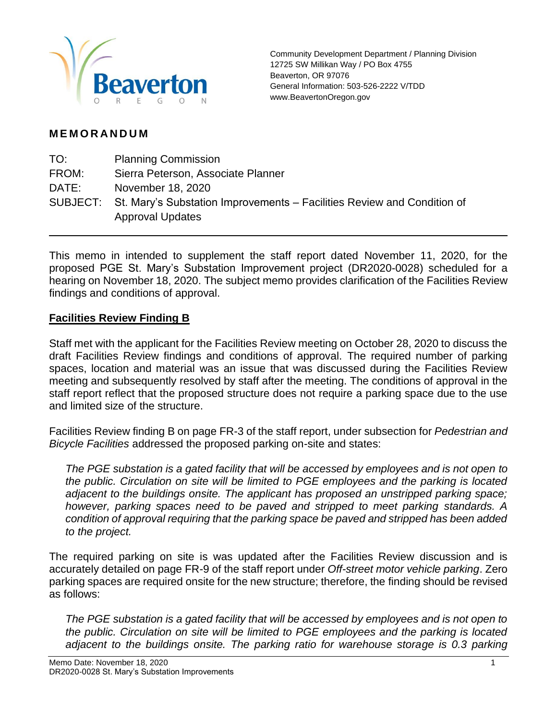

Community Development Department / Planning Division 12725 SW Millikan Way / PO Box 4755 Beaverton, OR 97076 General Information: 503-526-2222 V/TDD www.BeavertonOregon.gov

## **M E M O R A N D U M**

| TO:   | <b>Planning Commission</b>                                                                                  |
|-------|-------------------------------------------------------------------------------------------------------------|
| FROM: | Sierra Peterson, Associate Planner                                                                          |
| DATE: | November 18, 2020                                                                                           |
|       | SUBJECT: St. Mary's Substation Improvements – Facilities Review and Condition of<br><b>Approval Updates</b> |

This memo in intended to supplement the staff report dated November 11, 2020, for the proposed PGE St. Mary's Substation Improvement project (DR2020-0028) scheduled for a hearing on November 18, 2020. The subject memo provides clarification of the Facilities Review findings and conditions of approval.

## **Facilities Review Finding B**

Staff met with the applicant for the Facilities Review meeting on October 28, 2020 to discuss the draft Facilities Review findings and conditions of approval. The required number of parking spaces, location and material was an issue that was discussed during the Facilities Review meeting and subsequently resolved by staff after the meeting. The conditions of approval in the staff report reflect that the proposed structure does not require a parking space due to the use and limited size of the structure.

Facilities Review finding B on page FR-3 of the staff report, under subsection for *Pedestrian and Bicycle Facilities* addressed the proposed parking on-site and states:

*The PGE substation is a gated facility that will be accessed by employees and is not open to the public. Circulation on site will be limited to PGE employees and the parking is located adjacent to the buildings onsite. The applicant has proposed an unstripped parking space; however, parking spaces need to be paved and stripped to meet parking standards. A condition of approval requiring that the parking space be paved and stripped has been added to the project.*

The required parking on site is was updated after the Facilities Review discussion and is accurately detailed on page FR-9 of the staff report under *Off-street motor vehicle parking*. Zero parking spaces are required onsite for the new structure; therefore, the finding should be revised as follows:

*The PGE substation is a gated facility that will be accessed by employees and is not open to the public. Circulation on site will be limited to PGE employees and the parking is located adjacent to the buildings onsite. The parking ratio for warehouse storage is 0.3 parking*